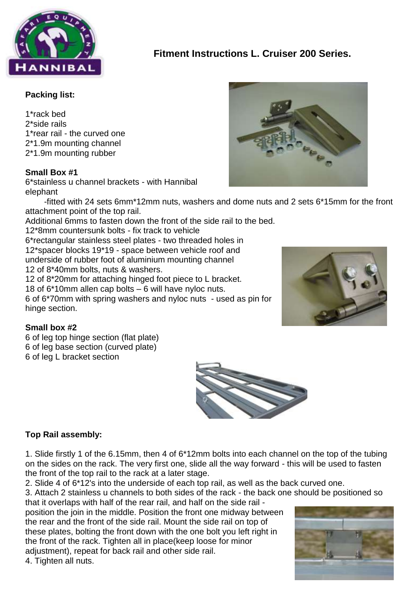

# **Fitment Instructions L. Cruiser 200 Series.**

#### **Packing list:**

1\*rack bed 2\*side rails 1\*rear rail - the curved one 2\*1.9m mounting channel 2\*1.9m mounting rubber

#### **Small Box #1**

6\*stainless u channel brackets - with Hannibal elephant

 -fitted with 24 sets 6mm\*12mm nuts, washers and dome nuts and 2 sets 6\*15mm for the front attachment point of the top rail.

Additional 6mms to fasten down the front of the side rail to the bed.

12\*8mm countersunk bolts - fix track to vehicle 6\*rectangular stainless steel plates - two threaded holes in 12\*spacer blocks 19\*19 - space between vehicle roof and underside of rubber foot of aluminium mounting channel 12 of 8\*40mm bolts, nuts & washers. 12 of 8\*20mm for attaching hinged foot piece to L bracket. 18 of 6\*10mm allen cap bolts – 6 will have nyloc nuts. 6 of 6\*70mm with spring washers and nyloc nuts - used as pin for

hinge section.

# **Small box #2**

6 of leg top hinge section (flat plate) 6 of leg base section (curved plate) 6 of leg L bracket section



# **Top Rail assembly:**

1. Slide firstly 1 of the 6.15mm, then 4 of 6\*12mm bolts into each channel on the top of the tubing on the sides on the rack. The very first one, slide all the way forward - this will be used to fasten the front of the top rail to the rack at a later stage.

2. Slide 4 of 6\*12's into the underside of each top rail, as well as the back curved one.

3. Attach 2 stainless u channels to both sides of the rack - the back one should be positioned so that it overlaps with half of the rear rail, and half on the side rail -

position the join in the middle. Position the front one midway between the rear and the front of the side rail. Mount the side rail on top of these plates, bolting the front down with the one bolt you left right in the front of the rack. Tighten all in place(keep loose for minor adjustment), repeat for back rail and other side rail.

4. Tighten all nuts.